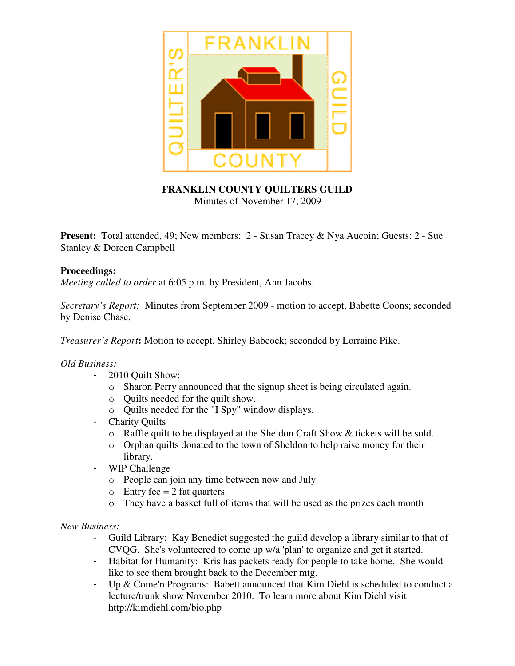

# **FRANKLIN COUNTY QUILTERS GUILD** Minutes of November 17, 2009

**Present:** Total attended, 49; New members: 2 - Susan Tracey & Nya Aucoin; Guests: 2 - Sue Stanley & Doreen Campbell

## **Proceedings:**

*Meeting called to order* at 6:05 p.m. by President, Ann Jacobs.

*Secretary's Report:* Minutes from September 2009 - motion to accept, Babette Coons; seconded by Denise Chase.

*Treasurer's Report***:** Motion to accept, Shirley Babcock; seconded by Lorraine Pike.

#### *Old Business:*

- 2010 Quilt Show:
	- o Sharon Perry announced that the signup sheet is being circulated again.
	- o Quilts needed for the quilt show.
	- o Quilts needed for the "I Spy" window displays.
- **Charity Ouilts** 
	- o Raffle quilt to be displayed at the Sheldon Craft Show & tickets will be sold.
	- o Orphan quilts donated to the town of Sheldon to help raise money for their library.
	- WIP Challenge
		- o People can join any time between now and July.
		- $\circ$  Entry fee = 2 fat quarters.
		- o They have a basket full of items that will be used as the prizes each month

*New Business:*

- Guild Library: Kay Benedict suggested the guild develop a library similar to that of CVQG. She's volunteered to come up w/a 'plan' to organize and get it started.
- Habitat for Humanity: Kris has packets ready for people to take home. She would like to see them brought back to the December mtg.
- Up & Come'n Programs: Babett announced that Kim Diehl is scheduled to conduct a lecture/trunk show November 2010. To learn more about Kim Diehl visit http://kimdiehl.com/bio.php